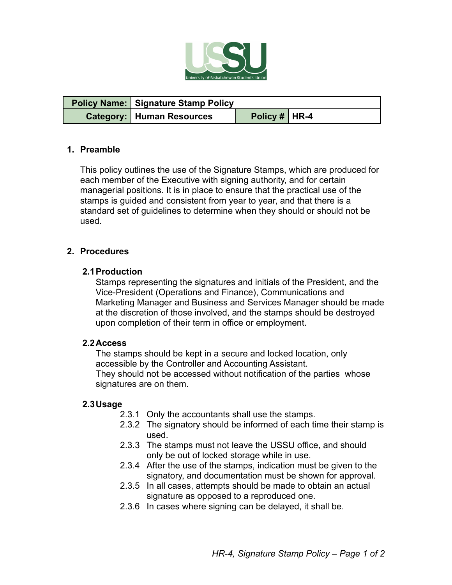

| <b>Policy Name:</b> Signature Stamp Policy |                 |  |
|--------------------------------------------|-----------------|--|
| <b>Category:   Human Resources</b>         | Policy #   HR-4 |  |

## **1. Preamble**

This policy outlines the use of the Signature Stamps, which are produced for each member of the Executive with signing authority, and for certain managerial positions. It is in place to ensure that the practical use of the stamps is guided and consistent from year to year, and that there is a standard set of guidelines to determine when they should or should not be used.

## **2. Procedures**

## **2.1Production**

Stamps representing the signatures and initials of the President, and the Vice-President (Operations and Finance), Communications and Marketing Manager and Business and Services Manager should be made at the discretion of those involved, and the stamps should be destroyed upon completion of their term in office or employment.

#### **2.2Access**

The stamps should be kept in a secure and locked location, only accessible by the Controller and Accounting Assistant. They should not be accessed without notification of the parties whose signatures are on them.

#### **2.3Usage**

- 2.3.1 Only the accountants shall use the stamps.
- 2.3.2 The signatory should be informed of each time their stamp is used.
- 2.3.3 The stamps must not leave the USSU office, and should only be out of locked storage while in use.
- 2.3.4 After the use of the stamps, indication must be given to the signatory, and documentation must be shown for approval.
- 2.3.5 In all cases, attempts should be made to obtain an actual signature as opposed to a reproduced one.
- 2.3.6 In cases where signing can be delayed, it shall be.